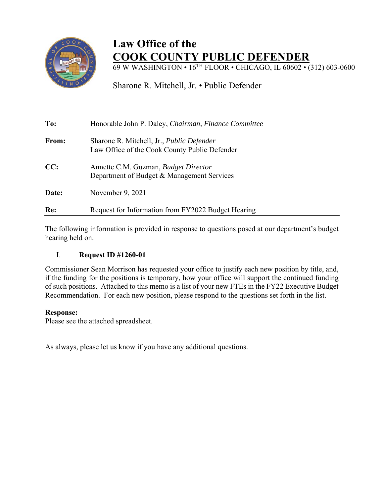

## **Law Office of the COOK COUNTY PUBLIC DEFENDER**

69 W WASHINGTON • 16TH FLOOR • CHICAGO, IL 60602 • (312) 603-0600

Sharone R. Mitchell, Jr. • Public Defender

| To:   | Honorable John P. Daley, Chairman, Finance Committee                                              |  |  |  |  |
|-------|---------------------------------------------------------------------------------------------------|--|--|--|--|
| From: | Sharone R. Mitchell, Jr., <i>Public Defender</i><br>Law Office of the Cook County Public Defender |  |  |  |  |
| CC:   | Annette C.M. Guzman, Budget Director<br>Department of Budget & Management Services                |  |  |  |  |
| Date: | November 9, 2021                                                                                  |  |  |  |  |
| Re:   | Request for Information from FY2022 Budget Hearing                                                |  |  |  |  |

The following information is provided in response to questions posed at our department's budget hearing held on.

## I. **Request ID #1260-01**

Commissioner Sean Morrison has requested your office to justify each new position by title, and, if the funding for the positions is temporary, how your office will support the continued funding of such positions. Attached to this memo is a list of your new FTEs in the FY22 Executive Budget Recommendation. For each new position, please respond to the questions set forth in the list.

## **Response:**

Please see the attached spreadsheet.

As always, please let us know if you have any additional questions.